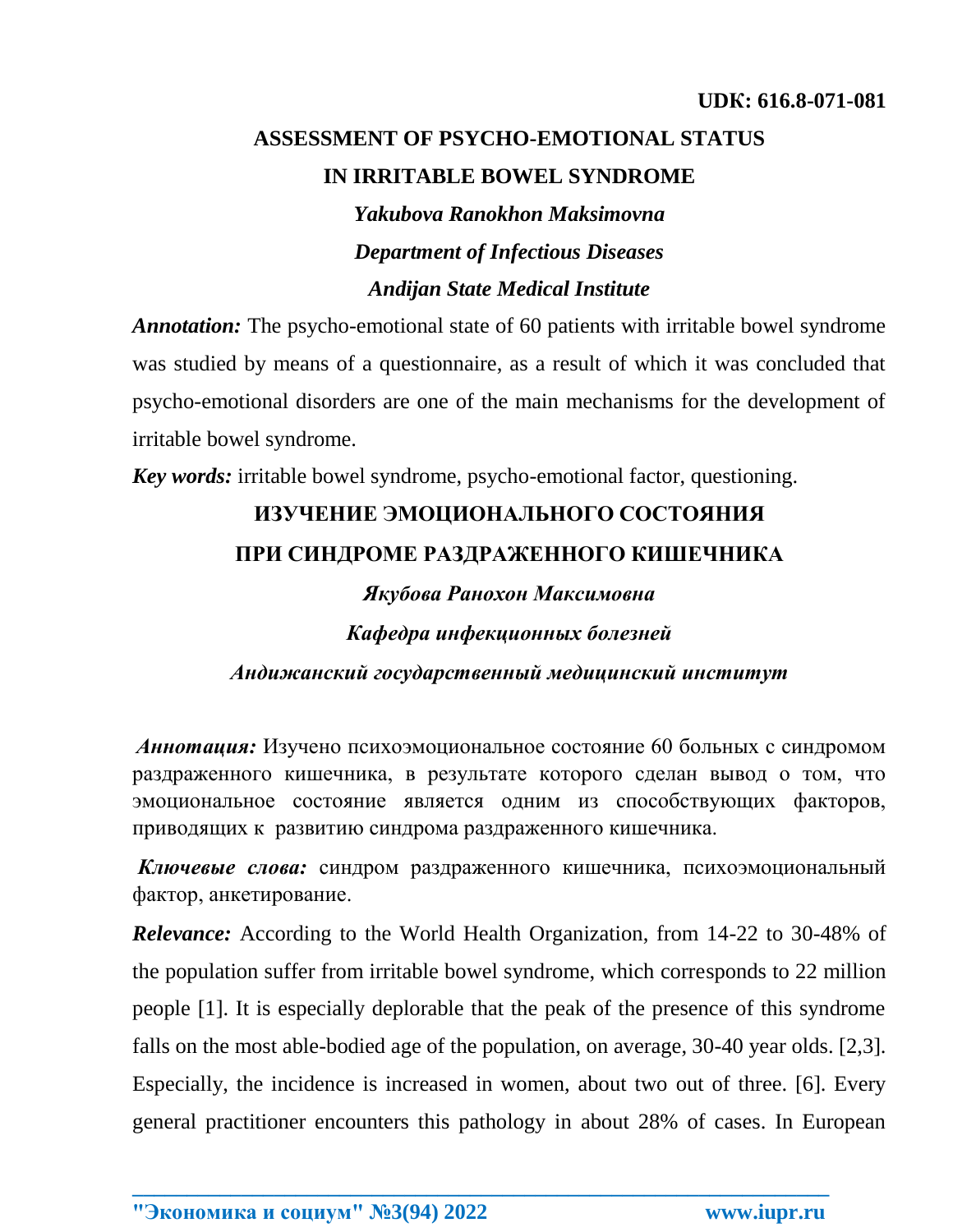## **ASSESSMENT OF PSYCHO-EMOTIONAL STATUS IN IRRITABLE BOWEL SYNDROME**

*Yakubova Ranokhon Maksimovna Department of Infectious Diseases Andijan State Medical Institute*

*Annotation:* The psycho-emotional state of 60 patients with irritable bowel syndrome was studied by means of a questionnaire, as a result of which it was concluded that psycho-emotional disorders are one of the main mechanisms for the development of irritable bowel syndrome.

*Key words:* irritable bowel syndrome, psycho-emotional factor, questioning.

# **ИЗУЧЕНИЕ ЭМОЦИОНАЛЬНОГО СОСТОЯНИЯ ПРИ СИНДРОМЕ РАЗДРАЖЕННОГО КИШЕЧНИКА**

### *Якубова Ранохон Максимовна*

*Кафедра инфекционных болезней*

*Андижанский государственный медицинский институт*

*Аннотация:* Изучено психоэмоциональное состояние 60 больных с синдромом раздраженного кишечника, в результате которого сделан вывод о том, что эмоциональное состояние является одним из способствующих факторов, приводящих к развитию синдрома раздраженного кишечника.

*Ключевые слова:* синдром раздраженного кишечника, психоэмоциональный фактор, анкетирование.

*Relevance:* According to the World Health Organization, from 14-22 to 30-48% of the population suffer from irritable bowel syndrome, which corresponds to 22 million people [1]. It is especially deplorable that the peak of the presence of this syndrome falls on the most able-bodied age of the population, on average, 30-40 year olds. [2,3]. Especially, the incidence is increased in women, about two out of three. [6]. Every general practitioner encounters this pathology in about 28% of cases. In European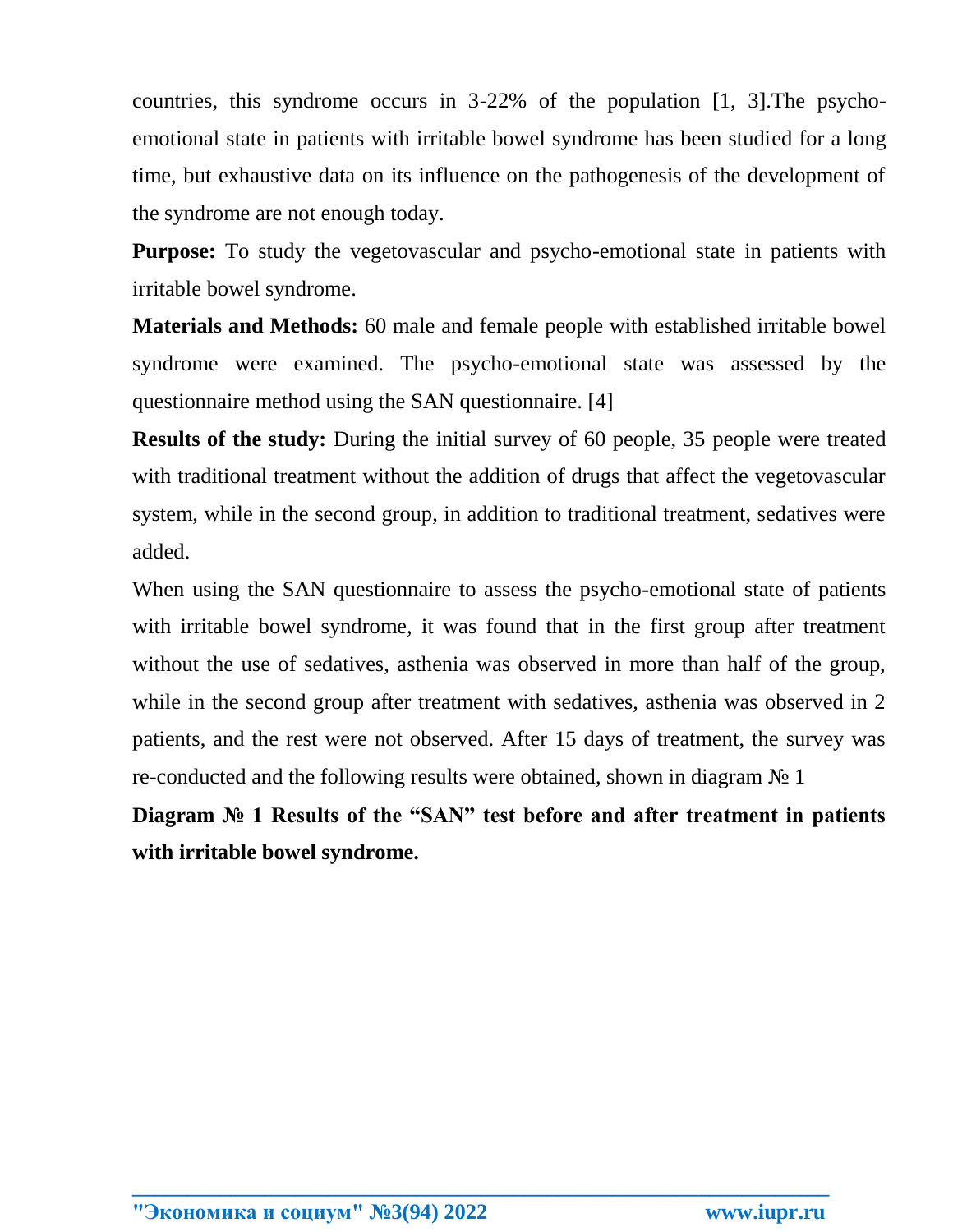countries, this syndrome occurs in 3-22% of the population [1, 3].The psychoemotional state in patients with irritable bowel syndrome has been studied for a long time, but exhaustive data on its influence on the pathogenesis of the development of the syndrome are not enough today.

**Purpose:** To study the vegetovascular and psycho-emotional state in patients with irritable bowel syndrome.

**Materials and Methods:** 60 male and female people with established irritable bowel syndrome were examined. The psycho-emotional state was assessed by the questionnaire method using the SAN questionnaire. [4]

**Results of the study:** During the initial survey of 60 people, 35 people were treated with traditional treatment without the addition of drugs that affect the vegetovascular system, while in the second group, in addition to traditional treatment, sedatives were added.

When using the SAN questionnaire to assess the psycho-emotional state of patients with irritable bowel syndrome, it was found that in the first group after treatment without the use of sedatives, asthenia was observed in more than half of the group, while in the second group after treatment with sedatives, asthenia was observed in 2 patients, and the rest were not observed. After 15 days of treatment, the survey was re-conducted and the following results were obtained, shown in diagram № 1

**Diagram № 1 Results of the "SAN" test before and after treatment in patients with irritable bowel syndrome.**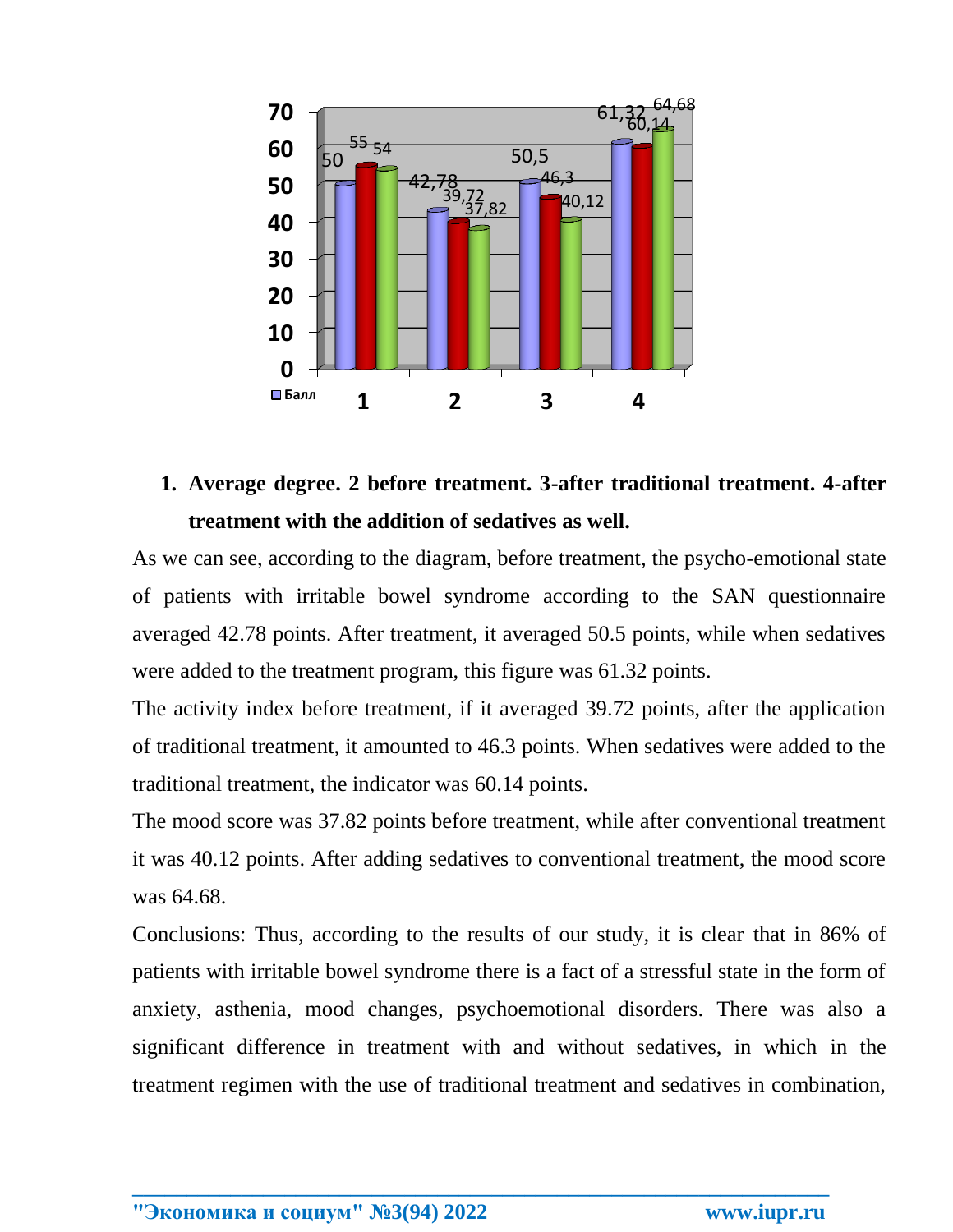

## **1. Average degree. 2 before treatment. 3-after traditional treatment. 4-after treatment with the addition of sedatives as well.**

As we can see, according to the diagram, before treatment, the psycho-emotional state of patients with irritable bowel syndrome according to the SAN questionnaire averaged 42.78 points. After treatment, it averaged 50.5 points, while when sedatives were added to the treatment program, this figure was 61.32 points.

The activity index before treatment, if it averaged 39.72 points, after the application of traditional treatment, it amounted to 46.3 points. When sedatives were added to the traditional treatment, the indicator was 60.14 points.

The mood score was 37.82 points before treatment, while after conventional treatment it was 40.12 points. After adding sedatives to conventional treatment, the mood score was 64.68.

Conclusions: Thus, according to the results of our study, it is clear that in 86% of patients with irritable bowel syndrome there is a fact of a stressful state in the form of anxiety, asthenia, mood changes, psychoemotional disorders. There was also a significant difference in treatment with and without sedatives, in which in the treatment regimen with the use of traditional treatment and sedatives in combination,